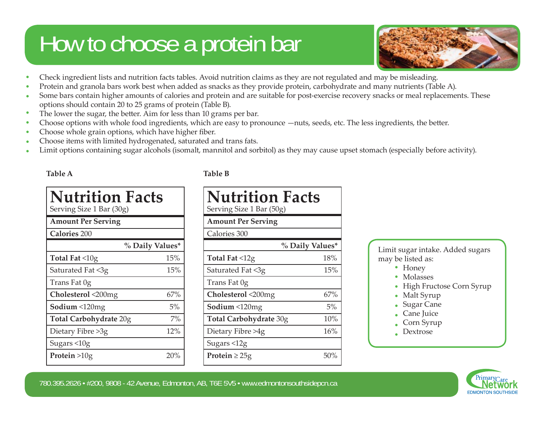## How to choose a protein bar



- Check ingredient lists and nutrition facts tables. Avoid nutrition claims as they are not regulated and may be misleading. •
- Protein and granola bars work best when added as snacks as they provide protein, carbohydrate and many nutrients (Table A). •
- Some bars contain higher amounts of calories and protein and are suitable for post-exercise recovery snacks or meal replacements. These options should contain 20 to 25 grams of protein (Table B). •
- The lower the sugar, the better. Aim for less than 10 grams per bar. •
- Choose options with whole food ingredients, which are easy to pronounce —nuts, seeds, etc. The less ingredients, the better. •
- Choose whole grain options, which have higher fiber. •
- Choose items with limited hydrogenated, saturated and trans fats. •
- Limit options containing sugar alcohols (isomalt, mannitol and sorbitol) as they may cause upset stomach (especially before activity). •

### **Table A Table B**

| <b>Nutrition Facts</b><br>Serving Size 1 Bar (30g) |                 |
|----------------------------------------------------|-----------------|
| <b>Amount Per Serving</b>                          |                 |
| <b>Calories 200</b>                                |                 |
|                                                    | % Daily Values* |
| Total Fat $\leq 10$ g                              | 15%             |
| Saturated Fat <3g                                  | 15%             |
| Trans Fat 0g                                       |                 |
| Cholesterol <200mg                                 | 67%             |
| Sodium <120mg                                      | 5%              |
| Total Carbohydrate 20g                             | 7%              |
| Dietary Fibre >3g                                  | 12%             |
| Sugars <10g                                        |                 |
| Protein $>10g$                                     | 20%             |

| <b>Nutrition Facts</b><br>Serving Size 1 Bar (50g) |     |
|----------------------------------------------------|-----|
| <b>Amount Per Serving</b>                          |     |
| Calories 300                                       |     |
| % Daily Values*                                    |     |
| Total Fat $\leq 12$ g                              | 18% |
| Saturated Fat <3g                                  | 15% |
| Trans Fat 0g                                       |     |
| Cholesterol <200mg                                 | 67% |
| Sodium <120mg                                      | 5%  |
| Total Carbohydrate 30g                             | 10% |
| Dietary Fibre >4g                                  | 16% |
| Sugars <12g                                        |     |
| Protein $\geq$ 25g                                 | 50% |

Limit sugar intake. Added sugars may be listed as:

- Honey
- Molasses
- High Fructose Corn Syrup •
- Malt Syrup
	- Sugar Cane •
	- Cane Juice •
	- Corn Syrup
- Dextrose •